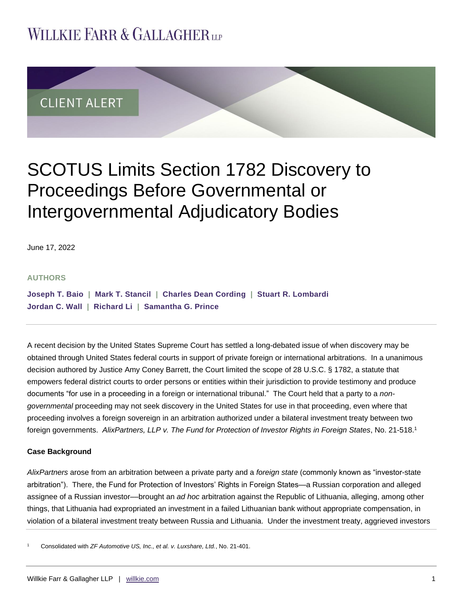# **WILLKIE FARR & GALLAGHERUP**



# SCOTUS Limits Section 1782 Discovery to Proceedings Before Governmental or Intergovernmental Adjudicatory Bodies

June 17, 2022

#### **AUTHORS**

**[Joseph T. Baio](https://www.willkie.com/professionals/b/baio-joseph-t) | [Mark T. Stancil](https://www.willkie.com/professionals/s/stancil-mark) | [Charles Dean](https://www.willkie.com/professionals/c/cording-charles) Cording | [Stuart R. Lombardi](https://www.willkie.com/professionals/l/lombardi-stuart-r) [Jordan C. Wall](https://www.willkie.com/professionals/w/wall-jordan) | [Richard Li](https://www.willkie.com/professionals/l/li-richard) | [Samantha G. Prince](https://www.willkie.com/professionals/p/prince-samantha)**

A recent decision by the United States Supreme Court has settled a long-debated issue of when discovery may be obtained through United States federal courts in support of private foreign or international arbitrations. In a unanimous decision authored by Justice Amy Coney Barrett, the Court limited the scope of 28 U.S.C. § 1782, a statute that empowers federal district courts to order persons or entities within their jurisdiction to provide testimony and produce documents "for use in a proceeding in a foreign or international tribunal." The Court held that a party to a *nongovernmental* proceeding may not seek discovery in the United States for use in that proceeding, even where that proceeding involves a foreign sovereign in an arbitration authorized under a bilateral investment treaty between two foreign governments. *AlixPartners, LLP v. The Fund for Protection of Investor Rights in Foreign States*, No. 21-518.<sup>1</sup>

## **Case Background**

*AlixPartners* arose from an arbitration between a private party and a *foreign state* (commonly known as "investor-state arbitration"). There, the Fund for Protection of Investors' Rights in Foreign States—a Russian corporation and alleged assignee of a Russian investor––brought an *ad hoc* arbitration against the Republic of Lithuania, alleging, among other things, that Lithuania had expropriated an investment in a failed Lithuanian bank without appropriate compensation, in violation of a bilateral investment treaty between Russia and Lithuania. Under the investment treaty, aggrieved investors

<sup>1</sup> Consolidated with *ZF Automotive US, Inc., et al. v. Luxshare, Ltd.*, No. 21-401.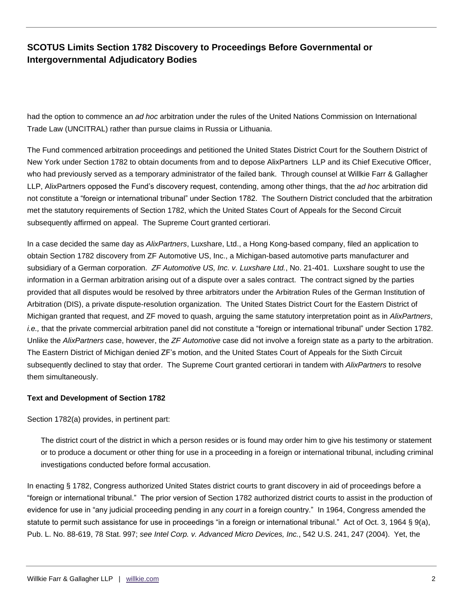had the option to commence an *ad hoc* arbitration under the rules of the United Nations Commission on International Trade Law (UNCITRAL) rather than pursue claims in Russia or Lithuania.

The Fund commenced arbitration proceedings and petitioned the United States District Court for the Southern District of New York under Section 1782 to obtain documents from and to depose AlixPartners LLP and its Chief Executive Officer, who had previously served as a temporary administrator of the failed bank. Through counsel at Willkie Farr & Gallagher LLP, AlixPartners opposed the Fund's discovery request, contending, among other things, that the *ad hoc* arbitration did not constitute a "foreign or international tribunal" under Section 1782. The Southern District concluded that the arbitration met the statutory requirements of Section 1782, which the United States Court of Appeals for the Second Circuit subsequently affirmed on appeal. The Supreme Court granted certiorari.

In a case decided the same day as *AlixPartners*, Luxshare, Ltd., a Hong Kong-based company, filed an application to obtain Section 1782 discovery from ZF Automotive US, Inc., a Michigan-based automotive parts manufacturer and subsidiary of a German corporation. *ZF Automotive US, Inc. v. Luxshare Ltd.*, No. 21-401. Luxshare sought to use the information in a German arbitration arising out of a dispute over a sales contract. The contract signed by the parties provided that all disputes would be resolved by three arbitrators under the Arbitration Rules of the German Institution of Arbitration (DIS), a private dispute-resolution organization. The United States District Court for the Eastern District of Michigan granted that request, and ZF moved to quash, arguing the same statutory interpretation point as in *AlixPartners*, *i.e.,* that the private commercial arbitration panel did not constitute a "foreign or international tribunal" under Section 1782. Unlike the *AlixPartners* case, however, the *ZF Automotive* case did not involve a foreign state as a party to the arbitration. The Eastern District of Michigan denied ZF's motion, and the United States Court of Appeals for the Sixth Circuit subsequently declined to stay that order. The Supreme Court granted certiorari in tandem with *AlixPartners* to resolve them simultaneously.

## **Text and Development of Section 1782**

Section 1782(a) provides, in pertinent part:

The district court of the district in which a person resides or is found may order him to give his testimony or statement or to produce a document or other thing for use in a proceeding in a foreign or international tribunal, including criminal investigations conducted before formal accusation.

In enacting § 1782, Congress authorized United States district courts to grant discovery in aid of proceedings before a "foreign or international tribunal." The prior version of Section 1782 authorized district courts to assist in the production of evidence for use in "any judicial proceeding pending in any *court* in a foreign country." In 1964, Congress amended the statute to permit such assistance for use in proceedings "in a foreign or international tribunal." Act of Oct. 3, 1964 § 9(a), Pub. L. No. 88-619, 78 Stat. 997; *see Intel Corp. v. Advanced Micro Devices, Inc.*, 542 U.S. 241, 247 (2004). Yet, the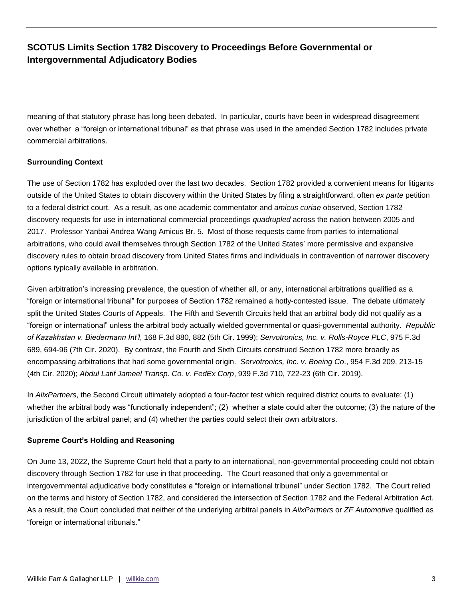meaning of that statutory phrase has long been debated. In particular, courts have been in widespread disagreement over whether a "foreign or international tribunal" as that phrase was used in the amended Section 1782 includes private commercial arbitrations.

## **Surrounding Context**

The use of Section 1782 has exploded over the last two decades. Section 1782 provided a convenient means for litigants outside of the United States to obtain discovery within the United States by filing a straightforward, often *ex parte* petition to a federal district court. As a result, as one academic commentator and *amicus curiae* observed, Section 1782 discovery requests for use in international commercial proceedings *quadrupled* across the nation between 2005 and 2017. Professor Yanbai Andrea Wang Amicus Br. 5.Most of those requests came from parties to international arbitrations, who could avail themselves through Section 1782 of the United States' more permissive and expansive discovery rules to obtain broad discovery from United States firms and individuals in contravention of narrower discovery options typically available in arbitration.

Given arbitration's increasing prevalence, the question of whether all, or any, international arbitrations qualified as a "foreign or international tribunal" for purposes of Section 1782 remained a hotly-contested issue. The debate ultimately split the United States Courts of Appeals. The Fifth and Seventh Circuits held that an arbitral body did not qualify as a "foreign or international" unless the arbitral body actually wielded governmental or quasi-governmental authority. *Republic of Kazakhstan v. Biedermann Int'l*, 168 F.3d 880, 882 (5th Cir. 1999); *Servotronics, Inc. v. Rolls-Royce PLC*, 975 F.3d 689, 694-96 (7th Cir. 2020). By contrast, the Fourth and Sixth Circuits construed Section 1782 more broadly as encompassing arbitrations that had some governmental origin. *Servotronics, Inc. v. Boeing Co*., 954 F.3d 209, 213-15 (4th Cir. 2020); *Abdul Latif Jameel Transp. Co. v. FedEx Corp*, 939 F.3d 710, 722-23 (6th Cir. 2019).

In *AlixPartners*, the Second Circuit ultimately adopted a four-factor test which required district courts to evaluate: (1) whether the arbitral body was "functionally independent"; (2) whether a state could alter the outcome; (3) the nature of the jurisdiction of the arbitral panel; and (4) whether the parties could select their own arbitrators.

## **Supreme Court's Holding and Reasoning**

On June 13, 2022, the Supreme Court held that a party to an international, non-governmental proceeding could not obtain discovery through Section 1782 for use in that proceeding. The Court reasoned that only a governmental or intergovernmental adjudicative body constitutes a "foreign or international tribunal" under Section 1782. The Court relied on the terms and history of Section 1782, and considered the intersection of Section 1782 and the Federal Arbitration Act. As a result, the Court concluded that neither of the underlying arbitral panels in *AlixPartners* or *ZF Automotive* qualified as "foreign or international tribunals."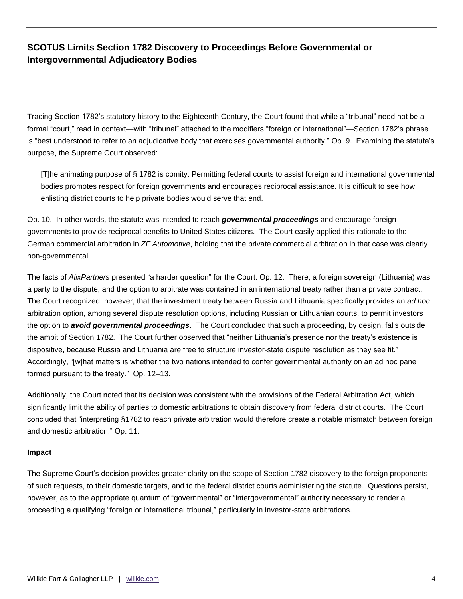Tracing Section 1782's statutory history to the Eighteenth Century, the Court found that while a "tribunal" need not be a formal "court," read in context—with "tribunal" attached to the modifiers "foreign or international"—Section 1782's phrase is "best understood to refer to an adjudicative body that exercises governmental authority." Op. 9. Examining the statute's purpose, the Supreme Court observed:

[T]he animating purpose of § 1782 is comity: Permitting federal courts to assist foreign and international governmental bodies promotes respect for foreign governments and encourages reciprocal assistance. It is difficult to see how enlisting district courts to help private bodies would serve that end.

Op. 10. In other words, the statute was intended to reach *governmental proceedings* and encourage foreign governments to provide reciprocal benefits to United States citizens. The Court easily applied this rationale to the German commercial arbitration in *ZF Automotive*, holding that the private commercial arbitration in that case was clearly non-governmental.

The facts of *AlixPartners* presented "a harder question" for the Court. Op. 12. There, a foreign sovereign (Lithuania) was a party to the dispute, and the option to arbitrate was contained in an international treaty rather than a private contract. The Court recognized, however, that the investment treaty between Russia and Lithuania specifically provides an *ad hoc* arbitration option, among several dispute resolution options, including Russian or Lithuanian courts, to permit investors the option to *avoid governmental proceedings*. The Court concluded that such a proceeding, by design, falls outside the ambit of Section 1782. The Court further observed that "neither Lithuania's presence nor the treaty's existence is dispositive, because Russia and Lithuania are free to structure investor-state dispute resolution as they see fit." Accordingly, "[w]hat matters is whether the two nations intended to confer governmental authority on an ad hoc panel formed pursuant to the treaty." Op. 12–13.

Additionally, the Court noted that its decision was consistent with the provisions of the Federal Arbitration Act, which significantly limit the ability of parties to domestic arbitrations to obtain discovery from federal district courts. The Court concluded that "interpreting §1782 to reach private arbitration would therefore create a notable mismatch between foreign and domestic arbitration." Op. 11.

## **Impact**

The Supreme Court's decision provides greater clarity on the scope of Section 1782 discovery to the foreign proponents of such requests, to their domestic targets, and to the federal district courts administering the statute. Questions persist, however, as to the appropriate quantum of "governmental" or "intergovernmental" authority necessary to render a proceeding a qualifying "foreign or international tribunal," particularly in investor-state arbitrations.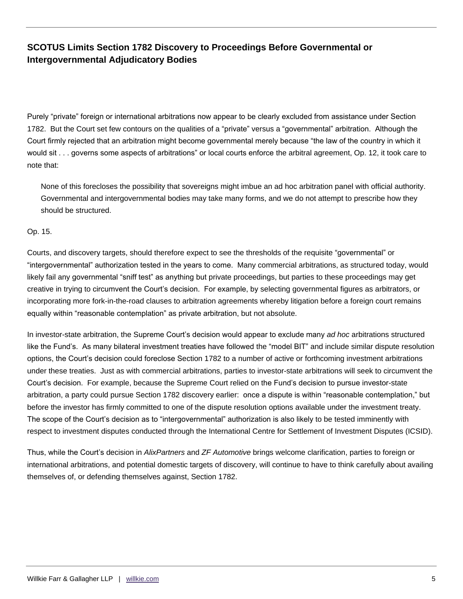Purely "private" foreign or international arbitrations now appear to be clearly excluded from assistance under Section 1782. But the Court set few contours on the qualities of a "private" versus a "governmental" arbitration. Although the Court firmly rejected that an arbitration might become governmental merely because "the law of the country in which it would sit . . . governs some aspects of arbitrations" or local courts enforce the arbitral agreement, Op. 12, it took care to note that:

None of this forecloses the possibility that sovereigns might imbue an ad hoc arbitration panel with official authority. Governmental and intergovernmental bodies may take many forms, and we do not attempt to prescribe how they should be structured.

Op. 15.

Courts, and discovery targets, should therefore expect to see the thresholds of the requisite "governmental" or "intergovernmental" authorization tested in the years to come. Many commercial arbitrations, as structured today, would likely fail any governmental "sniff test" as anything but private proceedings, but parties to these proceedings may get creative in trying to circumvent the Court's decision. For example, by selecting governmental figures as arbitrators, or incorporating more fork-in-the-road clauses to arbitration agreements whereby litigation before a foreign court remains equally within "reasonable contemplation" as private arbitration, but not absolute.

In investor-state arbitration, the Supreme Court's decision would appear to exclude many *ad hoc* arbitrations structured like the Fund's. As many bilateral investment treaties have followed the "model BIT" and include similar dispute resolution options, the Court's decision could foreclose Section 1782 to a number of active or forthcoming investment arbitrations under these treaties. Just as with commercial arbitrations, parties to investor-state arbitrations will seek to circumvent the Court's decision. For example, because the Supreme Court relied on the Fund's decision to pursue investor-state arbitration, a party could pursue Section 1782 discovery earlier: once a dispute is within "reasonable contemplation," but before the investor has firmly committed to one of the dispute resolution options available under the investment treaty. The scope of the Court's decision as to "intergovernmental" authorization is also likely to be tested imminently with respect to investment disputes conducted through the International Centre for Settlement of Investment Disputes (ICSID).

Thus, while the Court's decision in *AlixPartners* and *ZF Automotive* brings welcome clarification, parties to foreign or international arbitrations, and potential domestic targets of discovery, will continue to have to think carefully about availing themselves of, or defending themselves against, Section 1782.